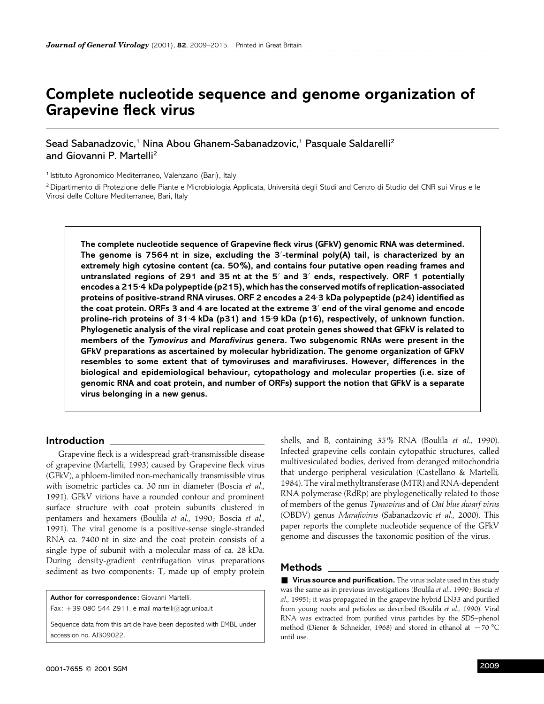# **Complete nucleotide sequence and genome organization of Grapevine fleck virus**

Sead Sabanadzovic,<sup>1</sup> Nina Abou Ghanem-Sabanadzovic,<sup>1</sup> Pasquale Saldarelli<sup>2</sup> and Giovanni P. Martelli<sup>2</sup>

<sup>1</sup> Istituto Agronomico Mediterraneo, Valenzano (Bari), Italy

<sup>2</sup> Dipartimento di Protezione delle Piante e Microbiologia Applicata, Universitá degli Studi and Centro di Studio del CNR sui Virus e le Virosi delle Colture Mediterranee, Bari, Italy

**The complete nucleotide sequence of Grapevine fleck virus (GFkV) genomic RNA was determined. The genome is 7564 nt in size, excluding the 3**«**-terminal poly(A) tail, is characterized by an extremely high cytosine content (ca. 50%), and contains four putative open reading frames and untranslated regions of 291 and 35 nt at the 5**« **and 3**« **ends, respectively. ORF 1 potentially encodes a 215**±**4 kDa polypeptide (p215), which has the conserved motifs of replication-associated proteins of positive-strand RNA viruses. ORF 2 encodes a 24**±**3 kDa polypeptide (p24) identified as the coat protein. ORFs 3 and 4 are located at the extreme 3**« **end of the viral genome and encode proline-rich proteins of 31**±**4 kDa (p31) and 15**±**9 kDa (p16), respectively, of unknown function. Phylogenetic analysis of the viral replicase and coat protein genes showed that GFkV is related to members of the** *Tymovirus* **and** *Marafivirus* **genera. Two subgenomic RNAs were present in the GFkV preparations as ascertained by molecular hybridization. The genome organization of GFkV resembles to some extent that of tymoviruses and marafiviruses. However, differences in the biological and epidemiological behaviour, cytopathology and molecular properties (i.e. size of genomic RNA and coat protein, and number of ORFs) support the notion that GFkV is a separate virus belonging in a new genus.**

## **Introduction**

Grapevine fleck is a widespread graft-transmissible disease of grapevine (Martelli, 1993) caused by Grapevine fleck virus (GFkV), a phloem-limited non-mechanically transmissible virus with isometric particles ca. 30 nm in diameter (Boscia *et al*., 1991). GFkV virions have a rounded contour and prominent surface structure with coat protein subunits clustered in pentamers and hexamers (Boulila *et al*., 1990 ; Boscia *et al*., 1991). The viral genome is a positive-sense single-stranded RNA ca. 7400 nt in size and the coat protein consists of a single type of subunit with a molecular mass of ca. 28 kDa. During density-gradient centrifugation virus preparations sediment as two components: T, made up of empty protein

**Author for correspondence:** Giovanni Martelli. Fax:  $+39$  080 544 2911. e-mail martelli@agr.uniba.it

Sequence data from this article have been deposited with EMBL under accession no. AJ309022.

shells, and B, containing 35% RNA (Boulila *et al*., 1990). Infected grapevine cells contain cytopathic structures, called multivesiculated bodies, derived from deranged mitochondria that undergo peripheral vesiculation (Castellano & Martelli, 1984). The viral methyltransferase (MTR) and RNA-dependent RNA polymerase (RdRp) are phylogenetically related to those of members of the genus *Tymovirus* and of *Oat blue dwarf virus* (OBDV) genus *Marafivirus* (Sabanadzovic *et al*., 2000). This paper reports the complete nucleotide sequence of the GFkV genome and discusses the taxonomic position of the virus.

## **Methods**

■ Virus source and purification. The virus isolate used in this study was the same as in previous investigations (Boulila *et al*., 1990 ; Boscia *et al*., 1995) ; it was propagated in the grapevine hybrid LN33 and purified from young roots and petioles as described (Boulila *et al*., 1990). Viral RNA was extracted from purified virus particles by the SDS–phenol method (Diener & Schneider, 1968) and stored in ethanol at  $-70$  °C until use.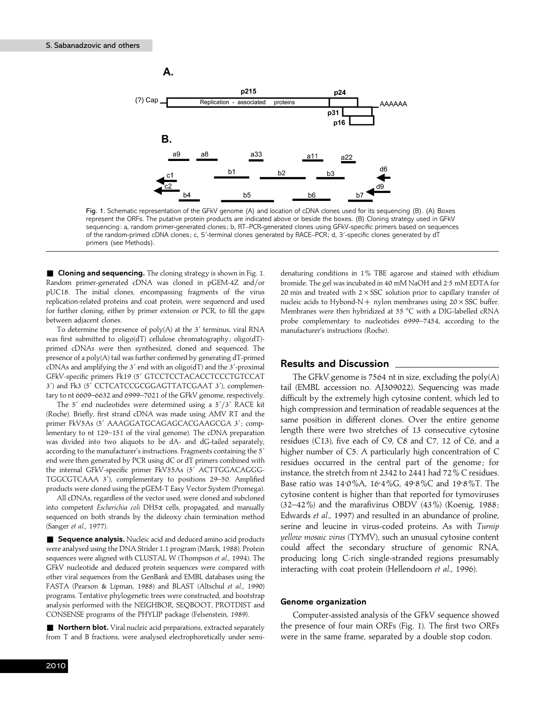

Fig. 1. Schematic representation of the GFkV genome (A) and location of cDNA clones used for its sequencing (B). (A) Boxes represent the ORFs. The putative protein products are indicated above or beside the boxes. (B) Cloning strategy used in GFkV sequencing: a, random primer-generated clones; b, RT–PCR-generated clones using GFkV-specific primers based on sequences of the random-primed cDNA clones; c, 5'-terminal clones generated by RACE–PCR; d, 3'-specific clones generated by dT primers (see Methods).

**Example 2 Cloning and sequencing.** The cloning strategy is shown in Fig. 1. Random primer-generated cDNA was cloned in pGEM-4Z and/or pUC18. The initial clones, encompassing fragments of the virus replication-related proteins and coat protein, were sequenced and used for further cloning, either by primer extension or PCR, to fill the gaps between adjacent clones.

To determine the presence of  $poly(A)$  at the  $3'$  terminus, viral RNA was first submitted to oligo(dT) cellulose chromatography ; oligo(dT) primed cDNAs were then synthesized, cloned and sequenced. The presence of a poly(A) tail was further confirmed by generating dT-primed cDNAs and amplifying the  $3'$  end with an oligo(dT) and the  $3'$ -proximal GFkV-specific primers Fk19 (5' GTCCTCCTACACCTCCCTGTCCAT 3') and Fk3 (5' CCTCATCCGCGGAGTTATCGAAT 3'), complementary to nt 6609–6632 and 6999–7021 of the GFkV genome, respectively.

The  $5'$  end nucleotides were determined using a  $5'/3'$  RACE kit (Roche). Briefly, first strand cDNA was made using AMV RT and the primer FkV5As (5' AAAGGATGCAGAGCACGAAGCGA 3'; complementary to nt 129–151 of the viral genome). The cDNA preparation was divided into two aliquots to be dA- and dG-tailed separately, according to the manufacturer's instructions. Fragments containing the 5' end were then generated by PCR using dC or dT primers combined with the internal GFkV-specific primer FkV55As (5' ACTTGGACAGGG-TGGCGTCAAA 3'), complementary to positions 29-50. Amplified products were cloned using the pGEM-T Easy Vector System (Promega).

All cDNAs, regardless of the vector used, were cloned and subcloned into competent *Escherichia coli* DH5α cells, propagated, and manually sequenced on both strands by the dideoxy chain termination method (Sanger *et al*., 1977).

■ **Sequence analysis.** Nucleic acid and deduced amino acid products were analysed using the DNA Strider 1.1 program (Marck, 1988). Protein sequences were aligned with CLUSTAL W (Thompson *et al*., 1994). The GFkV nucleotide and deduced protein sequences were compared with other viral sequences from the GenBank and EMBL databases using the FASTA (Pearson & Lipman, 1988) and BLAST (Altschul *et al*., 1990) programs. Tentative phylogenetic trees were constructed, and bootstrap analysis performed with the NEIGHBOR, SEQBOOT, PROTDIST and CONSENSE programs of the PHYLIP package (Felsenstein, 1989).

**Northern blot.** Viral nucleic acid preparations, extracted separately from T and B fractions, were analysed electrophoretically under semi-

denaturing conditions in 1% TBE agarose and stained with ethidium bromide. The gel was incubated in 40 mM NaOH and 2±5 mM EDTA for 20 min and treated with  $2 \times SSC$  solution prior to capillary transfer of nucleic acids to Hybond-N + nylon membranes using  $20 \times SSC$  buffer. Membranes were then hybridized at 55 °C with a DIG-labelled cRNA probe complementary to nucleotides 6999–7454, according to the manufacturer's instructions (Roche).

## **Results and Discussion**

The GFkV genome is 7564 nt in size, excluding the poly(A) tail (EMBL accession no. AJ309022). Sequencing was made difficult by the extremely high cytosine content, which led to high compression and termination of readable sequences at the same position in different clones. Over the entire genome length there were two stretches of 13 consecutive cytosine residues (C13), five each of C9, C8 and C7, 12 of C6, and a higher number of C5. A particularly high concentration of C residues occurred in the central part of the genome; for instance, the stretch from nt 2342 to 2441 had 72% C residues. Base ratio was 14±0%A, 16±4%G, 49±8%C and 19±8%T. The cytosine content is higher than that reported for tymoviruses  $(32-42%)$  and the marafivirus OBDV  $(43%)$  (Koenig, 1988; Edwards *et al*., 1997) and resulted in an abundance of proline, serine and leucine in virus-coded proteins. As with *Turnip yellow mosaic virus* (TYMV), such an unusual cytosine content could affect the secondary structure of genomic RNA, producing long C-rich single-stranded regions presumably interacting with coat protein (Hellendoorn *et al*., 1996).

#### **Genome organization**

Computer-assisted analysis of the GFkV sequence showed the presence of four main ORFs (Fig. 1). The first two ORFs were in the same frame, separated by a double stop codon.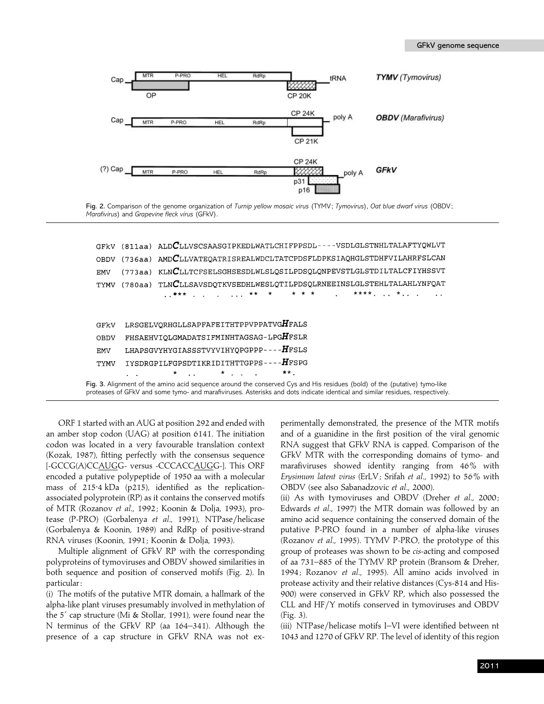

Fig. 2. Comparison of the genome organization of *Turnip yellow mosaic virus* (TYMV; *Tymovirus*), *Oat blue dwarf virus* (OBDV; *Marafivirus*) and *Grapevine fleck virus* (GFkV).

|                                                                                                                                                                                                                                                            |             |  | GFKV (811aa) ALD $C$ LLVSCSAASGIPKEDLWATLCHIFPPSDL----VSDLGLSTNHLTALAFTYQWLVT                                                        |  |  |  |  |  |  |  |  |  |  |
|------------------------------------------------------------------------------------------------------------------------------------------------------------------------------------------------------------------------------------------------------------|-------------|--|--------------------------------------------------------------------------------------------------------------------------------------|--|--|--|--|--|--|--|--|--|--|
|                                                                                                                                                                                                                                                            | <b>OBDV</b> |  | $(736aa)$ AMDCLLVATEQATRISREALWDCLTATCPDSFLDPKSIAQHGLSTDHFVILAHRFSLCAN                                                               |  |  |  |  |  |  |  |  |  |  |
|                                                                                                                                                                                                                                                            | <b>EMV</b>  |  | (773aa) KLNCLLTCFSELSGHSESDLWLSLQSILPDSQLQNPEVSTLGLSTDILTALCFIYHSSVT                                                                 |  |  |  |  |  |  |  |  |  |  |
|                                                                                                                                                                                                                                                            | <b>TYMV</b> |  | $(780aa)$ TLNCLLSAVSDQTKVSEDHLWESLQTILPDSQLRNEEINSLGLSTEHLTALAHLYNFQAT                                                               |  |  |  |  |  |  |  |  |  |  |
|                                                                                                                                                                                                                                                            |             |  |                                                                                                                                      |  |  |  |  |  |  |  |  |  |  |
|                                                                                                                                                                                                                                                            |             |  |                                                                                                                                      |  |  |  |  |  |  |  |  |  |  |
|                                                                                                                                                                                                                                                            | GFkV        |  | ${\tt LRSGELVQRHGLLSAPFAFEITHTPPVPPATVG} {\pmb{H}}{\tt FALS}$                                                                        |  |  |  |  |  |  |  |  |  |  |
|                                                                                                                                                                                                                                                            | <b>OBDV</b> |  | FHSAEHVIQLGMADATSIFMINHTAGSAG-LPGHFSLR                                                                                               |  |  |  |  |  |  |  |  |  |  |
|                                                                                                                                                                                                                                                            | <b>EMV</b>  |  | LHAPSGVYHYGIASSSTVYVIHYQPGPPP----HFSLS                                                                                               |  |  |  |  |  |  |  |  |  |  |
|                                                                                                                                                                                                                                                            | <b>TYMV</b> |  | IYSDRGPILFGPSDTIKRIDITHTTGPPS----HFSPG                                                                                               |  |  |  |  |  |  |  |  |  |  |
|                                                                                                                                                                                                                                                            |             |  | $\mathbf{r}$ , $\mathbf{r}$ , $\mathbf{r}$ , $\mathbf{r}$ , $\mathbf{r}$ , $\mathbf{r}$ , $\mathbf{r}$ , $\mathbf{r}$ , $\mathbf{r}$ |  |  |  |  |  |  |  |  |  |  |
| Fig. 3. Alignment of the amino acid sequence around the conserved Cys and His residues (bold) of the (putative) tymo-like<br>proteases of GFkV and some tymo- and marafiviruses. Asterisks and dots indicate identical and similar residues, respectively. |             |  |                                                                                                                                      |  |  |  |  |  |  |  |  |  |  |
|                                                                                                                                                                                                                                                            |             |  |                                                                                                                                      |  |  |  |  |  |  |  |  |  |  |

ORF 1 started with an AUG at position 292 and ended with an amber stop codon (UAG) at position 6141. The initiation codon was located in a very favourable translation context (Kozak, 1987), fitting perfectly with the consensus sequence [-GCCG(A)CCAUGG- versus -CCCACCAUGG-]. This ORF encoded a putative polypeptide of 1950 aa with a molecular mass of  $215.4$  kDa (p215), identified as the replicationassociated polyprotein (RP) as it contains the conserved motifs of MTR (Rozanov *et al*., 1992 ; Koonin & Dolja, 1993), protease (P-PRO) (Gorbalenya et al., 1991), NTPase/helicase (Gorbalenya & Koonin, 1989) and RdRp of positive-strand RNA viruses (Koonin, 1991 ; Koonin & Dolja, 1993).

Multiple alignment of GFkV RP with the corresponding polyproteins of tymoviruses and OBDV showed similarities in both sequence and position of conserved motifs (Fig. 2). In particular :

(i) The motifs of the putative MTR domain, a hallmark of the alpha-like plant viruses presumably involved in methylation of the 5' cap structure (Mi & Stollar, 1991), were found near the N terminus of the GFkV RP (aa 164–341). Although the presence of a cap structure in GFkV RNA was not experimentally demonstrated, the presence of the MTR motifs and of a guanidine in the first position of the viral genomic RNA suggest that GFkV RNA is capped. Comparison of the GFkV MTR with the corresponding domains of tymo- and marafiviruses showed identity ranging from 46% with *Erysimum latent virus* (ErLV ; Srifah *et al*., 1992) to 56% with OBDV (see also Sabanadzovic *et al*., 2000).

(ii) As with tymoviruses and OBDV (Dreher *et al*., 2000 ; Edwards *et al*., 1997) the MTR domain was followed by an amino acid sequence containing the conserved domain of the putative P-PRO found in a number of alpha-like viruses (Rozanov *et al*., 1995). TYMV P-PRO, the prototype of this group of proteases was shown to be *cis*-acting and composed of aa 731–885 of the TYMV RP protein (Bransom & Dreher, 1994; Rozanov et al., 1995). All amino acids involved in protease activity and their relative distances (Cys-814 and His-900) were conserved in GFkV RP, which also possessed the CLL and  $HF/Y$  motifs conserved in tymoviruses and OBDV (Fig. 3).

(iii) NTPase/helicase motifs I–VI were identified between nt 1043 and 1270 of GFkV RP. The level of identity of this region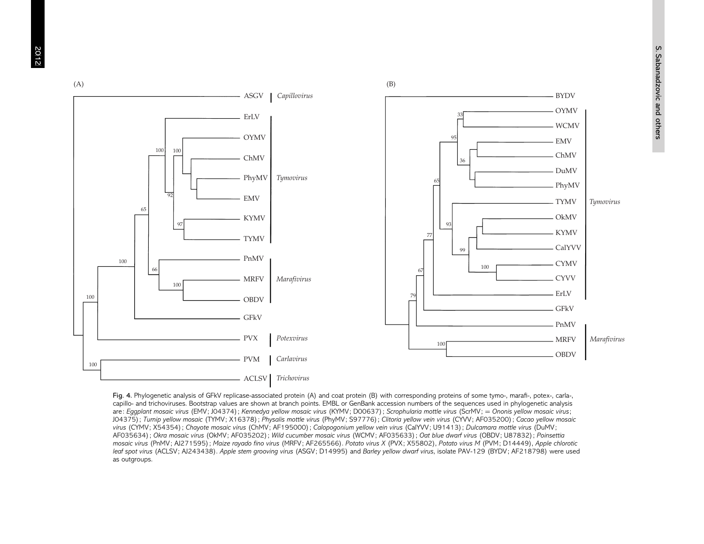

Fig. 4. Phylogenetic analysis of GFkV replicase-associated protein (A) and coat protein (B) with corresponding proteins of some tymo-, marafi-, potex-, carla-, capillo- and trichoviruses. Bootstrap values are shown at branch points. EMBL or GenBank accession numbers of the sequences used in phylogenetic analysis are: Eggplant mosaic virus (EMV; J04374); Kennedya yellow mosaic virus (KYMV; D00637); Scrophularia mottle virus (ScrMV; = Ononis yellow mosaic virus; JO4375); Turnip yellow mosaic (TYMV; X16378); Physalis mottle virus (PhyMV; S97776); Clitoria yellow vein virus (CYVV; AFO35200); Cacao yellow mosaic virus (CYMV; X54354); Chayote mosaic virus (ChMV; AF195000); Calopogonium yellow vein virus (CalYVV; U91413); Dulcamara mottle virus (DuMV; AF035634); Okra mosaic virus (OkMV; AF035202); Wild cucumber mosaic virus (WCMV; AF035633); Oat blue dwarf virus (OBDV; U87832); Poinsettia mosaic virus (PnMV; Al271595); Maize rayado fino virus (MRFV; AF265566). Potato virus X (PVX; X55802), Potato virus M (PVM; D14449), Apple chlorotic leaf spot virus (ACLSV; AI243438). Apple stem grooving virus (ASGV; D14995) and Barley yellow dwarf virus, isolate PAV-129 (BYDV; AF218798) were used as outgroups.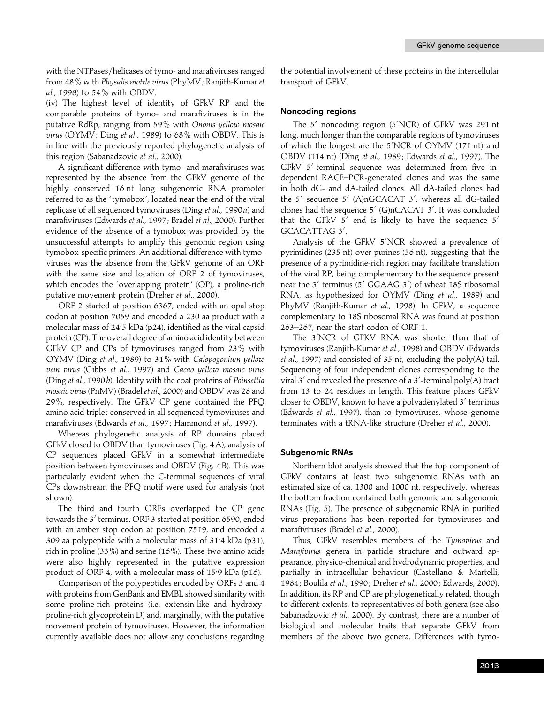with the NTPases/helicases of tymo- and marafiviruses ranged from 48% with *Physalis mottle virus* (PhyMV ; Ranjith-Kumar *et al*., 1998) to 54% with OBDV.

(iv) The highest level of identity of GFkV RP and the comparable proteins of tymo- and marafiviruses is in the putative RdRp, ranging from 59% with *Ononis yellow mosaic virus* (OYMV ; Ding *et al*., 1989) to 68% with OBDV. This is in line with the previously reported phylogenetic analysis of this region (Sabanadzovic *et al*., 2000).

A significant difference with tymo- and marafiviruses was represented by the absence from the GFkV genome of the highly conserved 16 nt long subgenomic RNA promoter referred to as the 'tymobox', located near the end of the viral replicase of all sequenced tymoviruses (Ding *et al*., 1990*a*) and marafiviruses (Edwards *et al*., 1997 ; Bradel *et al*., 2000). Further evidence of the absence of a tymobox was provided by the unsuccessful attempts to amplify this genomic region using tymobox-specific primers. An additional difference with tymoviruses was the absence from the GFkV genome of an ORF with the same size and location of ORF 2 of tymoviruses, which encodes the 'overlapping protein' (OP), a proline-rich putative movement protein (Dreher *et al*., 2000).

ORF 2 started at position 6367, ended with an opal stop codon at position 7059 and encoded a 230 aa product with a molecular mass of 24<sup>-5</sup> kDa (p24), identified as the viral capsid protein (CP). The overall degree of amino acid identity between GFkV CP and CPs of tymoviruses ranged from 23% with OYMV (Ding *et al*., 1989) to 31% with *Calopogonium yellow vein virus* (Gibbs *et al*., 1997) and *Cacao yellow mosaic virus* (Ding *et al*., 1990*b*). Identity with the coat proteins of *Poinsettia mosaic virus* (PnMV) (Bradel *et al*., 2000) and OBDV was 28 and 29%, respectively. The GFkV CP gene contained the PFQ amino acid triplet conserved in all sequenced tymoviruses and marafiviruses (Edwards *et al*., 1997 ; Hammond *et al*., 1997).

Whereas phylogenetic analysis of RP domains placed GFkV closed to OBDV than tymoviruses (Fig. 4A), analysis of CP sequences placed GFkV in a somewhat intermediate position between tymoviruses and OBDV (Fig. 4 B). This was particularly evident when the C-terminal sequences of viral CPs downstream the PFQ motif were used for analysis (not shown).

The third and fourth ORFs overlapped the CP gene towards the 3' terminus. ORF 3 started at position 6590, ended with an amber stop codon at position 7519, and encoded a 309 aa polypeptide with a molecular mass of 31±4 kDa (p31), rich in proline (33%) and serine (16%). These two amino acids were also highly represented in the putative expression product of ORF 4, with a molecular mass of 15<sup>-9</sup> kDa (p16).

Comparison of the polypeptides encoded by ORFs 3 and 4 with proteins from GenBank and EMBL showed similarity with some proline-rich proteins (i.e. extensin-like and hydroxyproline-rich glycoprotein D) and, marginally, with the putative movement protein of tymoviruses. However, the information currently available does not allow any conclusions regarding the potential involvement of these proteins in the intercellular transport of GFkV.

### **Noncoding regions**

The 5' noncoding region (5'NCR) of GFkV was 291 nt long, much longer than the comparable regions of tymoviruses of which the longest are the 5'NCR of OYMV (171 nt) and OBDV (114 nt) (Ding *et al*., 1989 ; Edwards *et al*., 1997). The GFkV 5'-terminal sequence was determined from five independent RACE–PCR-generated clones and was the same in both dG- and dA-tailed clones. All dA-tailed clones had the  $5'$  sequence  $5'$  (A)nGCACAT  $3'$ , whereas all dG-tailed clones had the sequence 5' (G)nCACAT 3'. It was concluded that the GFkV  $5'$  end is likely to have the sequence  $5'$ GCACATTAG 3'.

Analysis of the GFkV 5'NCR showed a prevalence of pyrimidines (235 nt) over purines (56 nt), suggesting that the presence of a pyrimidine-rich region may facilitate translation of the viral RP, being complementary to the sequence present near the 3' terminus (5' GGAAG 3') of wheat 18S ribosomal RNA, as hypothesized for OYMV (Ding *et al*., 1989) and PhyMV (Ranjith-Kumar *et al*., 1998). In GFkV, a sequence complementary to 18S ribosomal RNA was found at position 263–267, near the start codon of ORF 1.

The 3'NCR of GFKV RNA was shorter than that of tymoviruses (Ranjith-Kumar *et al*., 1998) and OBDV (Edwards *et al*., 1997) and consisted of 35 nt, excluding the poly(A) tail. Sequencing of four independent clones corresponding to the viral  $3'$  end revealed the presence of a  $3'$ -terminal poly(A) tract from 13 to 24 residues in length. This feature places GFkV closer to OBDV, known to have a polyadenylated 3' terminus (Edwards *et al*., 1997), than to tymoviruses, whose genome terminates with a tRNA-like structure (Dreher *et al*., 2000).

#### **Subgenomic RNAs**

Northern blot analysis showed that the top component of GFkV contains at least two subgenomic RNAs with an estimated size of ca. 1300 and 1000 nt, respectively, whereas the bottom fraction contained both genomic and subgenomic RNAs (Fig. 5). The presence of subgenomic RNA in purified virus preparations has been reported for tymoviruses and marafiviruses (Bradel *et al*., 2000).

Thus, GFkV resembles members of the *Tymovirus* and *Marafivirus* genera in particle structure and outward appearance, physico-chemical and hydrodynamic properties, and partially in intracellular behaviour (Castellano & Martelli, 1984 ; Boulila *et al*., 1990 ; Dreher *et al*., 2000 ; Edwards, 2000). In addition, its RP and CP are phylogenetically related, though to different extents, to representatives of both genera (see also Sabanadzovic *et al*., 2000). By contrast, there are a number of biological and molecular traits that separate GFkV from members of the above two genera. Differences with tymo-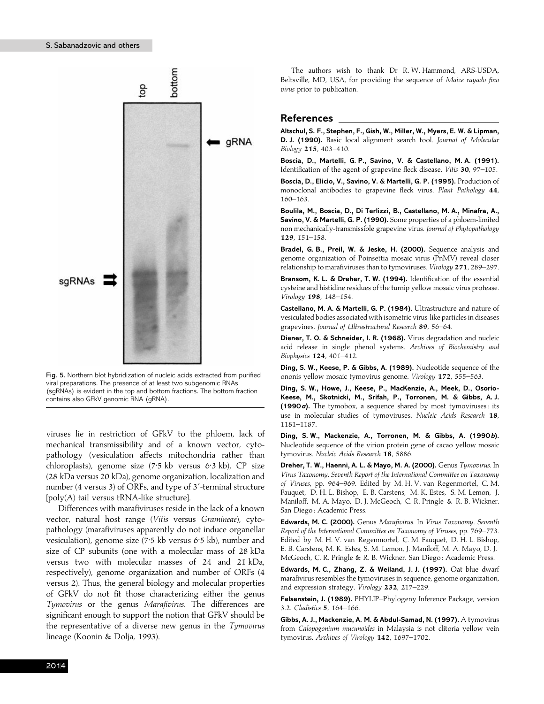

Fig. 5. Northern blot hybridization of nucleic acids extracted from purified viral preparations. The presence of at least two subgenomic RNAs (sgRNAs) is evident in the top and bottom fractions. The bottom fraction contains also GFkV genomic RNA (gRNA).

viruses lie in restriction of GFkV to the phloem, lack of mechanical transmissibility and of a known vector, cytopathology (vesiculation affects mitochondria rather than chloroplasts), genome size (7±5 kb versus 6±3 kb), CP size (28 kDa versus 20 kDa), genome organization, localization and number (4 versus 3) of ORFs, and type of  $3'$ -terminal structure [poly(A) tail versus tRNA-like structure].

Differences with marafiviruses reside in the lack of a known vector, natural host range (*Vitis* versus *Gramineae*), cytopathology (marafiviruses apparently do not induce organellar vesiculation), genome size (7.5 kb versus 6.5 kb), number and size of CP subunits (one with a molecular mass of 28 kDa versus two with molecular masses of 24 and 21 kDa, respectively), genome organization and number of ORFs (4 versus 2). Thus, the general biology and molecular properties of GFkV do not fit those characterizing either the genus *Tymovirus* or the genus *Marafivirus*. The differences are significant enough to support the notion that GFkV should be the representative of a diverse new genus in the *Tymovirus* lineage (Koonin & Dolja, 1993).

The authors wish to thank Dr R. W. Hammond, ARS-USDA, Beltsville, MD, USA, for providing the sequence of *Maize rayado fino virus* prior to publication.

#### **References**

**Altschul, S. F., Stephen, F., Gish, W., Miller, W., Myers, E. W. & Lipman, D. J. (1990).** Basic local alignment search tool. *Journal of Molecular Biology* **215**, 403–410.

**Boscia, D., Martelli, G. P., Savino, V. & Castellano, M. A. (1991).** Identification of the agent of grapevine fleck disease. *Vitis* **30**, 97–105.

**Boscia, D., Elicio, V., Savino, V. & Martelli, G. P. (1995).** Production of monoclonal antibodies to grapevine fleck virus. *Plant Pathology* **44**, 160–163.

**Boulila, M., Boscia, D., Di Terlizzi, B., Castellano, M. A., Minafra, A., Savino, V. & Martelli, G. P. (1990).** Some properties of a phloem-limited non mechanically-transmissible grapevine virus. *Journal of Phytopathology* **129**, 151–158.

**Bradel, G. B., Preil, W. & Jeske, H. (2000).** Sequence analysis and genome organization of Poinsettia mosaic virus (PnMV) reveal closer relationship to marafiviruses than to tymoviruses. *Virology* **271**, 289–297.

**Bransom, K. L. & Dreher, T. W. (1994).** Identification of the essential cysteine and histidine residues of the turnip yellow mosaic virus protease. *Virology* **198**, 148–154.

**Castellano, M. A. & Martelli, G. P. (1984).** Ultrastructure and nature of vesiculated bodies associated with isometric virus-like particles in diseases grapevines. *Journal of Ultrastructural Research* **89**, 56–64.

**Diener, T. O. & Schneider, I. R. (1968).** Virus degradation and nucleic acid release in single phenol systems. *Archives of Biochemistry and Biophysics* **124**, 401–412.

**Ding, S. W., Keese, P. & Gibbs, A. (1989).** Nucleotide sequence of the ononis yellow mosaic tymovirus genome. *Virology* **172**, 555–563.

**Ding, S. W., Howe, J., Keese, P., MacKenzie, A., Meek, D., Osorio-Keese, M., Skotnicki, M., Srifah, P., Torronen, M. & Gibbs, A. J. (1990***a***).** The tymobox, a sequence shared by most tymoviruses : its use in molecular studies of tymoviruses. *Nucleic Acids Research* **18**, 1181–1187.

**Ding, S. W., Mackenzie, A., Torronen, M. & Gibbs, A. (1990***b***).** Nucleotide sequence of the virion protein gene of cacao yellow mosaic tymovirus. *Nucleic Acids Research* **18**, 5886.

**Dreher, T. W., Haenni, A. L. & Mayo, M. A. (2000).** Genus *Tymovirus*. In *Virus Taxonomy*. *Seventh Report of the International Committee on Taxonomy of Viruses*, pp. 964–969. Edited by M. H. V. van Regenmortel, C. M. Fauquet, D. H. L. Bishop, E. B. Carstens, M. K. Estes, S. M. Lemon, J. Maniloff, M. A. Mayo, D. J. McGeoch, C. R. Pringle & R. B. Wickner. San Diego: Academic Press.

**Edwards, M. C. (2000).** Genus *Marafivirus*. In *Virus Taxonomy*. *Seventh Report of the International Committee on Taxonomy of Viruses*, pp. 769–773. Edited by M. H. V. van Regenmortel, C. M. Fauquet, D. H. L. Bishop, E. B. Carstens, M. K. Estes, S. M. Lemon, J. Maniloff, M. A. Mayo, D. J. McGeoch, C. R. Pringle & R. B. Wickner. San Diego : Academic Press.

**Edwards, M. C., Zhang, Z. & Weiland, J. J. (1997).** Oat blue dwarf marafivirus resembles the tymoviruses in sequence, genome organization, and expression strategy. *Virology* **232**, 217–229.

**Felsenstein, J. (1989).** PHYLIP–Phylogeny Inference Package, version 3.2. *Cladistics* **5**, 164–166.

**Gibbs, A. J., Mackenzie, A. M. & Abdul-Samad, N. (1997).** A tymovirus from *Calopogonium mucunoides* in Malaysia is not clitoria yellow vein tymovirus. *Archives of Virology* **142**, 1697–1702.